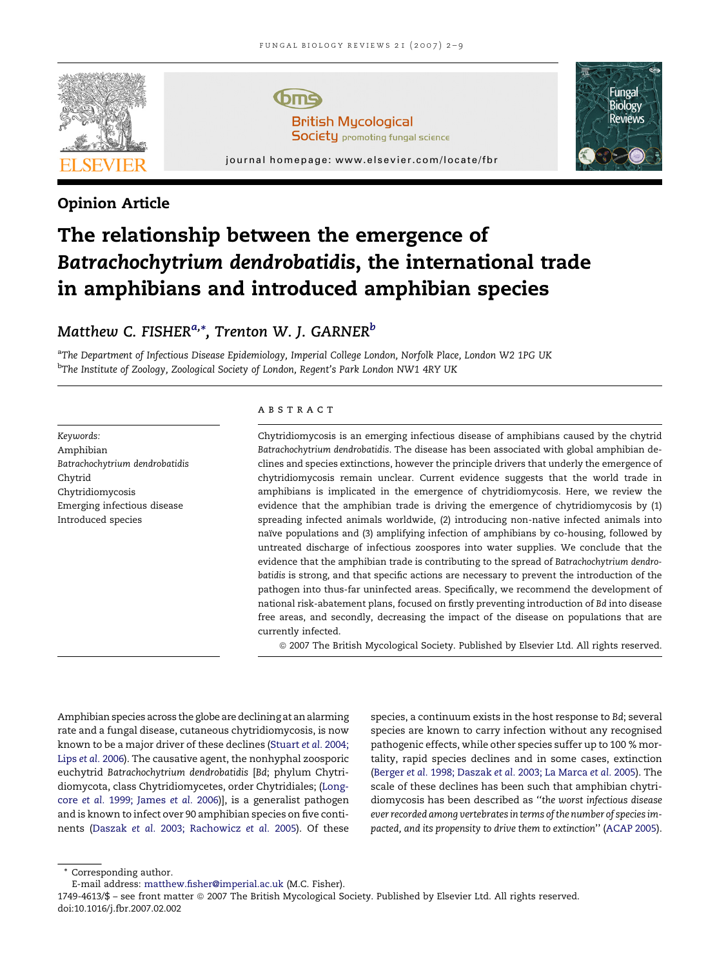

## Opinion Article

# The relationship between the emergence of Batrachochytrium dendrobatidis, the international trade in amphibians and introduced amphibian species

## Matthew C. FISHER $^{a,\ast},$  Trenton W. J. GARNER $^b$

<sup>a</sup>The Department of Infectious Disease Epidemiology, Imperial College London, Norfolk Place, London W2 1PG UK <sup>b</sup>The Institute of Zoology, Zoological Society of London, Regent's Park London NW1 4RY UK

Keywords: Amphibian Batrachochytrium dendrobatidis Chytrid Chytridiomycosis Emerging infectious disease Introduced species

#### **ABSTRACT**

Chytridiomycosis is an emerging infectious disease of amphibians caused by the chytrid Batrachochytrium dendrobatidis. The disease has been associated with global amphibian declines and species extinctions, however the principle drivers that underly the emergence of chytridiomycosis remain unclear. Current evidence suggests that the world trade in amphibians is implicated in the emergence of chytridiomycosis. Here, we review the evidence that the amphibian trade is driving the emergence of chytridiomycosis by (1) spreading infected animals worldwide, (2) introducing non-native infected animals into naïve populations and (3) amplifying infection of amphibians by co-housing, followed by untreated discharge of infectious zoospores into water supplies. We conclude that the evidence that the amphibian trade is contributing to the spread of Batrachochytrium dendrobatidis is strong, and that specific actions are necessary to prevent the introduction of the pathogen into thus-far uninfected areas. Specifically, we recommend the development of national risk-abatement plans, focused on firstly preventing introduction of Bd into disease free areas, and secondly, decreasing the impact of the disease on populations that are currently infected.

 $@$  2007 The British Mycological Society. Published by Elsevier Ltd. All rights reserved.

Amphibian species across the globe are declining at an alarming rate and a fungal disease, cutaneous chytridiomycosis, is now known to be a major driver of these declines ([Stuart](#page-7-0) et al. 2004; Lips et al. [2006\)](#page-7-0). The causative agent, the nonhyphal zoosporic euchytrid Batrachochytrium dendrobatidis [Bd; phylum Chytridiomycota, class Chytridiomycetes, order Chytridiales; [\(Long](#page-7-0)core et al. [1999; James](#page-7-0) et al. 2006)], is a generalist pathogen and is known to infect over 90 amphibian species on five continents (Daszak et al. [2003; Rachowicz](#page-6-0) et al. 2005). Of these

species, a continuum exists in the host response to Bd; several species are known to carry infection without any recognised pathogenic effects, while other species suffer up to 100 % mortality, rapid species declines and in some cases, extinction (Berger et al. 1998; Daszak et al. [2003; La Marca](#page-6-0) et al. 2005). The scale of these declines has been such that amphibian chytridiomycosis has been described as ''the worst infectious disease ever recorded among vertebrates in terms of the number of species impacted, and its propensity to drive them to extinction'' [\(ACAP 2005\)](#page-6-0).

Corresponding author.

E-mail address: [matthew.fisher@imperial.ac.uk](mailto:matthew.fisher@imperial.ac.uk) (M.C. Fisher).

<sup>1749-4613/\$ –</sup> see front matter ª 2007 The British Mycological Society. Published by Elsevier Ltd. All rights reserved. doi:10.1016/j.fbr.2007.02.002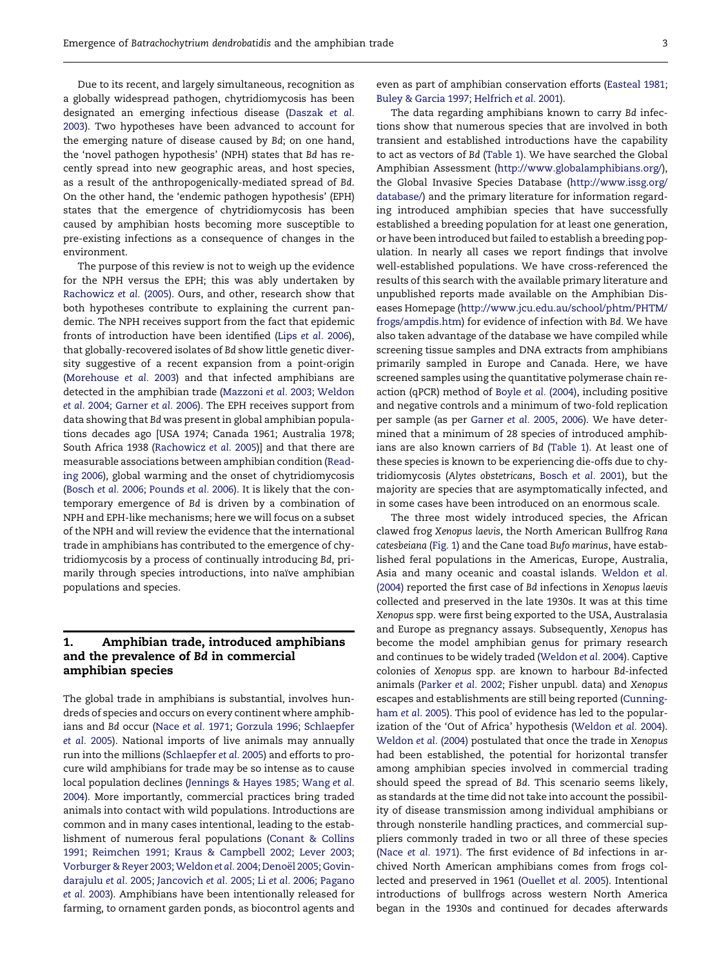Due to its recent, and largely simultaneous, recognition as a globally widespread pathogen, chytridiomycosis has been designated an emerging infectious disease [\(Daszak](#page-6-0) et al. [2003](#page-6-0)). Two hypotheses have been advanced to account for the emerging nature of disease caused by Bd; on one hand, the 'novel pathogen hypothesis' (NPH) states that Bd has recently spread into new geographic areas, and host species, as a result of the anthropogenically-mediated spread of Bd. On the other hand, the 'endemic pathogen hypothesis' (EPH) states that the emergence of chytridiomycosis has been caused by amphibian hosts becoming more susceptible to pre-existing infections as a consequence of changes in the environment.

The purpose of this review is not to weigh up the evidence for the NPH versus the EPH; this was ably undertaken by [Rachowicz](#page-7-0) et al. (2005). Ours, and other, research show that both hypotheses contribute to explaining the current pandemic. The NPH receives support from the fact that epidemic fronts of introduction have been identified (Lips [et al.](#page-7-0) 2006), that globally-recovered isolates of Bd show little genetic diversity suggestive of a recent expansion from a point-origin [\(Morehouse](#page-7-0) et al. 2003) and that infected amphibians are detected in the amphibian trade (Mazzoni et al. [2003; Weldon](#page-7-0) et al. [2004; Garner](#page-7-0) et al. 2006). The EPH receives support from data showing that Bd was present in global amphibian populations decades ago [USA 1974; Canada 1961; Australia 1978; South Africa 1938 [\(Rachowicz](#page-7-0) et al. 2005)] and that there are measurable associations between amphibian condition ([Read](#page-7-0)[ing 2006](#page-7-0)), global warming and the onset of chytridiomycosis (Bosch et al. [2006; Pounds](#page-6-0) et al. 2006). It is likely that the contemporary emergence of Bd is driven by a combination of NPH and EPH-like mechanisms; here we will focus on a subset of the NPH and will review the evidence that the international trade in amphibians has contributed to the emergence of chytridiomycosis by a process of continually introducing Bd, primarily through species introductions, into naïve amphibian populations and species.

#### 1. Amphibian trade, introduced amphibians and the prevalence of Bd in commercial amphibian species

The global trade in amphibians is substantial, involves hundreds of species and occurs on every continent where amphibians and Bd occur (Nace et al. [1971; Gorzula 1996; Schlaepfer](#page-7-0) [et al.](#page-7-0) 2005). National imports of live animals may annually run into the millions [\(Schlaepfer](#page-7-0) et al. 2005) and efforts to procure wild amphibians for trade may be so intense as to cause local population declines ([Jennings & Hayes 1985; Wang](#page-7-0) et al. [2004](#page-7-0)). More importantly, commercial practices bring traded animals into contact with wild populations. Introductions are common and in many cases intentional, leading to the establishment of numerous feral populations [\(Conant & Collins](#page-6-0) [1991; Reimchen 1991; Kraus & Campbell 2002; Lever 2003;](#page-6-0) Vorburger & Reyer 2003; Weldon et al. 2004; Denoël 2005; Govindarajulu et al. [2005; Jancovich](#page-6-0) et al. 2005; Li et al. 2006; Pagano [et al.](#page-6-0) 2003). Amphibians have been intentionally released for farming, to ornament garden ponds, as biocontrol agents and even as part of amphibian conservation efforts [\(Easteal 1981;](#page-6-0) [Buley & Garcia 1997; Helfrich](#page-6-0) et al. 2001).

The data regarding amphibians known to carry Bd infections show that numerous species that are involved in both transient and established introductions have the capability to act as vectors of Bd ([Table 1](#page-2-0)). We have searched the Global Amphibian Assessment [\(http://www.globalamphibians.org/](http://www.globalamphibians.org/)), the Global Invasive Species Database ([http://www.issg.org/](http://www.issg.org/database/) [database/\)](http://www.issg.org/database/) and the primary literature for information regarding introduced amphibian species that have successfully established a breeding population for at least one generation, or have been introduced but failed to establish a breeding population. In nearly all cases we report findings that involve well-established populations. We have cross-referenced the results of this search with the available primary literature and unpublished reports made available on the Amphibian Diseases Homepage ([http://www.jcu.edu.au/school/phtm/PHTM/](http://www.jcu.edu.au/school/phtm/PHTM/frogs/ampdis.htm) [frogs/ampdis.htm\)](http://www.jcu.edu.au/school/phtm/PHTM/frogs/ampdis.htm) for evidence of infection with Bd. We have also taken advantage of the database we have compiled while screening tissue samples and DNA extracts from amphibians primarily sampled in Europe and Canada. Here, we have screened samples using the quantitative polymerase chain reaction (qPCR) method of Boyle et al. [\(2004\)](#page-6-0), including positive and negative controls and a minimum of two-fold replication per sample (as per Garner et al. [2005, 2006\)](#page-6-0). We have determined that a minimum of 28 species of introduced amphibians are also known carriers of Bd ([Table 1\)](#page-2-0). At least one of these species is known to be experiencing die-offs due to chytridiomycosis (Alytes obstetricans, [Bosch](#page-6-0) et al. 2001), but the majority are species that are asymptomatically infected, and in some cases have been introduced on an enormous scale.

The three most widely introduced species, the African clawed frog Xenopus laevis, the North American Bullfrog Rana catesbeiana ([Fig. 1\)](#page-3-0) and the Cane toad Bufo marinus, have established feral populations in the Americas, Europe, Australia, Asia and many oceanic and coastal islands. [Weldon](#page-7-0) et al. [\(2004\)](#page-7-0) reported the first case of Bd infections in Xenopus laevis collected and preserved in the late 1930s. It was at this time Xenopus spp. were first being exported to the USA, Australasia and Europe as pregnancy assays. Subsequently, Xenopus has become the model amphibian genus for primary research and continues to be widely traded [\(Weldon](#page-7-0) et al. 2004). Captive colonies of Xenopus spp. are known to harbour Bd-infected animals ([Parker](#page-7-0) et al. 2002; Fisher unpubl. data) and Xenopus escapes and establishments are still being reported [\(Cunning](#page-6-0)ham et al. [2005\)](#page-6-0). This pool of evidence has led to the popularization of the 'Out of Africa' hypothesis [\(Weldon](#page-7-0) et al. 2004). [Weldon](#page-7-0) et al. (2004) postulated that once the trade in Xenopus had been established, the potential for horizontal transfer among amphibian species involved in commercial trading should speed the spread of Bd. This scenario seems likely, as standards at the time did not take into account the possibility of disease transmission among individual amphibians or through nonsterile handling practices, and commercial suppliers commonly traded in two or all three of these species [\(Nace](#page-7-0) et al. 1971). The first evidence of Bd infections in archived North American amphibians comes from frogs collected and preserved in 1961 ([Ouellet](#page-7-0) et al. 2005). Intentional introductions of bullfrogs across western North America began in the 1930s and continued for decades afterwards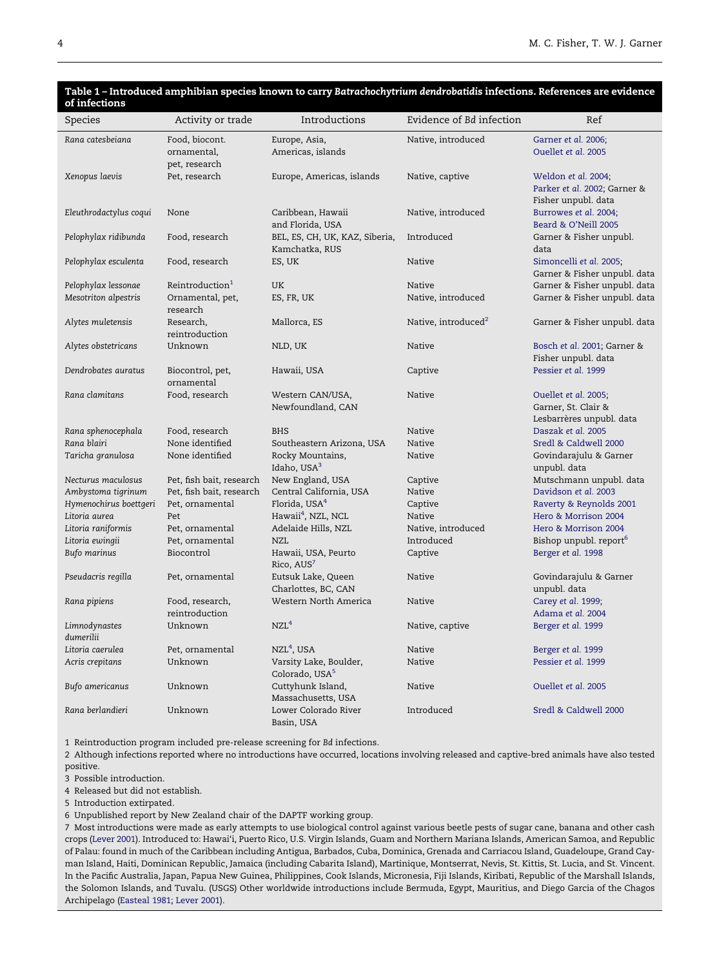| of infections              |                                                |                                                      |                                 |                                                                            |
|----------------------------|------------------------------------------------|------------------------------------------------------|---------------------------------|----------------------------------------------------------------------------|
| <b>Species</b>             | Activity or trade                              | Introductions                                        | Evidence of Bd infection        | Ref                                                                        |
| Rana catesbeiana           | Food, biocont.<br>ornamental,<br>pet, research | Europe, Asia,<br>Americas, islands                   | Native, introduced              | Garner et al. 2006;<br>Ouellet et al. 2005                                 |
| Xenopus laevis             | Pet, research                                  | Europe, Americas, islands                            | Native, captive                 | Weldon et al. 2004;<br>Parker et al. 2002; Garner &<br>Fisher unpubl. data |
| Eleuthrodactylus coqui     | None                                           | Caribbean, Hawaii<br>and Florida, USA                | Native, introduced              | Burrowes et al. 2004;<br>Beard & O'Neill 2005                              |
| Pelophylax ridibunda       | Food, research                                 | BEL, ES, CH, UK, KAZ, Siberia,<br>Kamchatka, RUS     | Introduced                      | Garner & Fisher unpubl.<br>data                                            |
| Pelophylax esculenta       | Food, research                                 | ES, UK                                               | Native                          | Simoncelli et al. 2005;<br>Garner & Fisher unpubl. data                    |
| Pelophylax lessonae        | Reintroduction <sup>1</sup>                    | <b>UK</b>                                            | Native                          | Garner & Fisher unpubl. data                                               |
| Mesotriton alpestris       | Ornamental, pet,<br>research                   | ES, FR, UK                                           | Native, introduced              | Garner & Fisher unpubl. data                                               |
| Alytes muletensis          | Research.<br>reintroduction                    | Mallorca, ES                                         | Native, introduced <sup>2</sup> | Garner & Fisher unpubl. data                                               |
| Alytes obstetricans        | Unknown                                        | NLD, UK                                              | Native                          | Bosch et al. 2001; Garner &<br>Fisher unpubl. data                         |
| Dendrobates auratus        | Biocontrol, pet,<br>ornamental                 | Hawaii, USA                                          | Captive                         | Pessier et al. 1999                                                        |
| Rana clamitans             | Food, research                                 | Western CAN/USA,<br>Newfoundland, CAN                | Native                          | Ouellet et al. 2005;<br>Garner, St. Clair &<br>Lesbarrères unpubl. data    |
| Rana sphenocephala         | Food, research                                 | <b>BHS</b>                                           | Native                          | Daszak et al. 2005                                                         |
| Rana blairi                | None identified                                | Southeastern Arizona, USA                            | Native                          | Sredl & Caldwell 2000                                                      |
| Taricha granulosa          | None identified                                | Rocky Mountains,<br>Idaho, $USA3$                    | Native                          | Govindarajulu & Garner<br>unpubl. data                                     |
| Necturus maculosus         | Pet, fish bait, research                       | New England, USA                                     | Captive                         | Mutschmann unpubl. data                                                    |
| Ambystoma tigrinum         | Pet, fish bait, research                       | Central California, USA                              | Native                          | Davidson et al. 2003                                                       |
| Hymenochirus boettgeri     | Pet, ornamental                                | Florida, USA <sup>4</sup>                            | Captive                         | Raverty & Reynolds 2001                                                    |
| Litoria aurea              | Pet                                            | Hawaii <sup>4</sup> , NZL, NCL                       | Native                          | Hero & Morrison 2004                                                       |
| Litoria raniformis         | Pet, ornamental                                | Adelaide Hills, NZL                                  | Native, introduced              | Hero & Morrison 2004                                                       |
| Litoria ewingii            | Pet, ornamental                                | <b>NZL</b>                                           | Introduced                      | Bishop unpubl. report <sup>6</sup>                                         |
| Bufo marinus               | Biocontrol                                     | Hawaii, USA, Peurto<br>Rico, AUS <sup>7</sup>        | Captive                         | Berger et al. 1998                                                         |
| Pseudacris regilla         | Pet, ornamental                                | Eutsuk Lake, Queen<br>Charlottes, BC, CAN            | Native                          | Govindarajulu & Garner<br>unpubl. data                                     |
| Rana pipiens               | Food, research,<br>reintroduction              | Western North America                                | Native                          | Carey et al. 1999;<br>Adama et al. 2004                                    |
| Limnodynastes<br>dumerilii | Unknown                                        | NZL <sup>4</sup>                                     | Native, captive                 | Berger et al. 1999                                                         |
| Litoria caerulea           | Pet, ornamental                                | $NZL4$ , USA                                         | Native                          | Berger et al. 1999                                                         |
| Acris crepitans            | Unknown                                        | Varsity Lake, Boulder,<br>Colorado, USA <sup>5</sup> | Native                          | Pessier et al. 1999                                                        |
| Bufo americanus            | Unknown                                        | Cuttyhunk Island,<br>Massachusetts, USA              | Native                          | Ouellet et al. 2005                                                        |
| Rana berlandieri           | Unknown                                        | Lower Colorado River<br>Basin, USA                   | Introduced                      | Sredl & Caldwell 2000                                                      |

## <span id="page-2-0"></span>Table 1 – Introduced amphibian species known to carry Batrachochytrium dendrobatidis infections. References are evidence

1 Reintroduction program included pre-release screening for Bd infections.

2 Although infections reported where no introductions have occurred, locations involving released and captive-bred animals have also tested positive.

4 Released but did not establish.

5 Introduction extirpated.

6 Unpublished report by New Zealand chair of the DAPTF working group.

7 Most introductions were made as early attempts to use biological control against various beetle pests of sugar cane, banana and other cash crops ([Lever 2001](#page-7-0)). Introduced to: Hawai'i, Puerto Rico, U.S. Virgin Islands, Guam and Northern Mariana Islands, American Samoa, and Republic of Palau: found in much of the Caribbean including Antigua, Barbados, Cuba, Dominica, Grenada and Carriacou Island, Guadeloupe, Grand Cayman Island, Haiti, Dominican Republic, Jamaica (including Cabarita Island), Martinique, Montserrat, Nevis, St. Kittis, St. Lucia, and St. Vincent. In the Pacific Australia, Japan, Papua New Guinea, Philippines, Cook Islands, Micronesia, Fiji Islands, Kiribati, Republic of the Marshall Islands, the Solomon Islands, and Tuvalu. (USGS) Other worldwide introductions include Bermuda, Egypt, Mauritius, and Diego Garcia of the Chagos Archipelago ([Easteal 1981](#page-6-0); [Lever 2001](#page-7-0)).

<sup>3</sup> Possible introduction.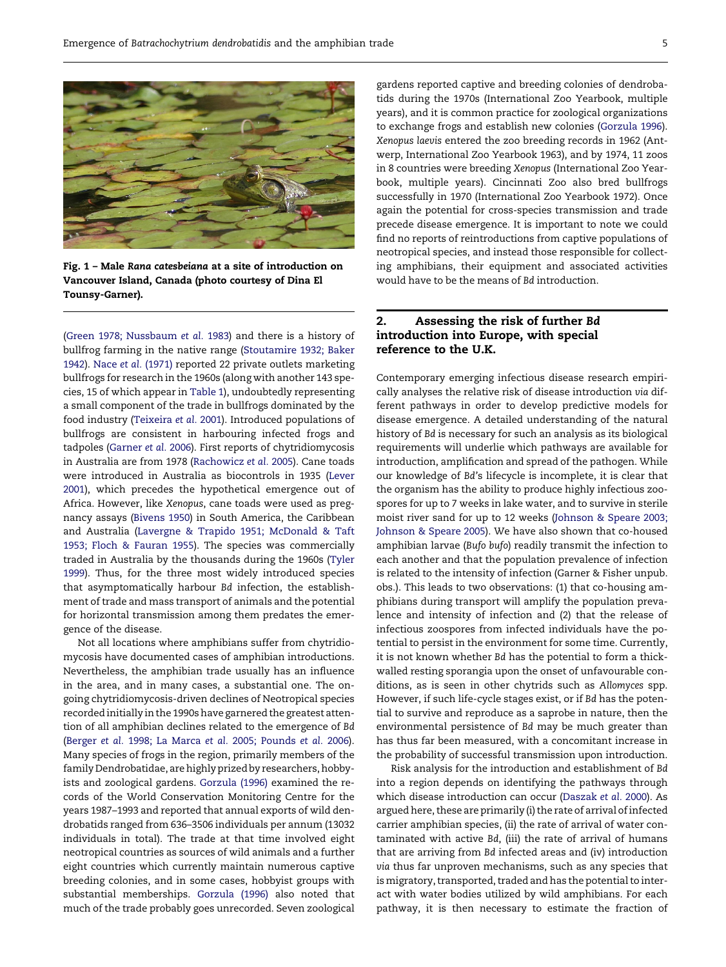<span id="page-3-0"></span>

Fig. 1 – Male Rana catesbeiana at a site of introduction on Vancouver Island, Canada (photo courtesy of Dina El Tounsy-Garner).

[\(Green 1978; Nussbaum](#page-6-0) et al. 1983) and there is a history of bullfrog farming in the native range ([Stoutamire 1932; Baker](#page-7-0) [1942](#page-7-0)). Nace et al. [\(1971\)](#page-7-0) reported 22 private outlets marketing bullfrogs for research in the 1960s (along with another 143 species, 15 of which appear in [Table 1\)](#page-2-0), undoubtedly representing a small component of the trade in bullfrogs dominated by the food industry ([Teixeira](#page-7-0) et al. 2001). Introduced populations of bullfrogs are consistent in harbouring infected frogs and tadpoles ([Garner](#page-6-0) et al. 2006). First reports of chytridiomycosis in Australia are from 1978 ([Rachowicz](#page-7-0) et al. 2005). Cane toads were introduced in Australia as biocontrols in 1935 ([Lever](#page-7-0) [2001](#page-7-0)), which precedes the hypothetical emergence out of Africa. However, like Xenopus, cane toads were used as pregnancy assays ([Bivens 1950\)](#page-6-0) in South America, the Caribbean and Australia ([Lavergne & Trapido 1951; McDonald & Taft](#page-7-0) [1953; Floch & Fauran 1955](#page-7-0)). The species was commercially traded in Australia by the thousands during the 1960s ([Tyler](#page-7-0) [1999](#page-7-0)). Thus, for the three most widely introduced species that asymptomatically harbour Bd infection, the establishment of trade and mass transport of animals and the potential for horizontal transmission among them predates the emergence of the disease.

Not all locations where amphibians suffer from chytridiomycosis have documented cases of amphibian introductions. Nevertheless, the amphibian trade usually has an influence in the area, and in many cases, a substantial one. The ongoing chytridiomycosis-driven declines of Neotropical species recorded initially in the 1990s have garnered the greatest attention of all amphibian declines related to the emergence of Bd (Berger et al. [1998; La Marca](#page-6-0) et al. 2005; Pounds et al. 2006). Many species of frogs in the region, primarily members of the family Dendrobatidae, are highly prized by researchers, hobbyists and zoological gardens. [Gorzula \(1996\)](#page-6-0) examined the records of the World Conservation Monitoring Centre for the years 1987–1993 and reported that annual exports of wild dendrobatids ranged from 636–3506 individuals per annum (13032 individuals in total). The trade at that time involved eight neotropical countries as sources of wild animals and a further eight countries which currently maintain numerous captive breeding colonies, and in some cases, hobbyist groups with substantial memberships. [Gorzula \(1996\)](#page-6-0) also noted that much of the trade probably goes unrecorded. Seven zoological

gardens reported captive and breeding colonies of dendrobatids during the 1970s (International Zoo Yearbook, multiple years), and it is common practice for zoological organizations to exchange frogs and establish new colonies ([Gorzula 1996](#page-6-0)). Xenopus laevis entered the zoo breeding records in 1962 (Antwerp, International Zoo Yearbook 1963), and by 1974, 11 zoos in 8 countries were breeding Xenopus (International Zoo Yearbook, multiple years). Cincinnati Zoo also bred bullfrogs successfully in 1970 (International Zoo Yearbook 1972). Once again the potential for cross-species transmission and trade precede disease emergence. It is important to note we could find no reports of reintroductions from captive populations of neotropical species, and instead those responsible for collecting amphibians, their equipment and associated activities would have to be the means of Bd introduction.

#### 2. Assessing the risk of further Bd introduction into Europe, with special reference to the U.K.

Contemporary emerging infectious disease research empirically analyses the relative risk of disease introduction via different pathways in order to develop predictive models for disease emergence. A detailed understanding of the natural history of Bd is necessary for such an analysis as its biological requirements will underlie which pathways are available for introduction, amplification and spread of the pathogen. While our knowledge of Bd's lifecycle is incomplete, it is clear that the organism has the ability to produce highly infectious zoospores for up to 7 weeks in lake water, and to survive in sterile moist river sand for up to 12 weeks [\(Johnson & Speare 2003;](#page-7-0) [Johnson & Speare 2005](#page-7-0)). We have also shown that co-housed amphibian larvae (Bufo bufo) readily transmit the infection to each another and that the population prevalence of infection is related to the intensity of infection (Garner & Fisher unpub. obs.). This leads to two observations: (1) that co-housing amphibians during transport will amplify the population prevalence and intensity of infection and (2) that the release of infectious zoospores from infected individuals have the potential to persist in the environment for some time. Currently, it is not known whether Bd has the potential to form a thickwalled resting sporangia upon the onset of unfavourable conditions, as is seen in other chytrids such as Allomyces spp. However, if such life-cycle stages exist, or if Bd has the potential to survive and reproduce as a saprobe in nature, then the environmental persistence of Bd may be much greater than has thus far been measured, with a concomitant increase in the probability of successful transmission upon introduction.

Risk analysis for the introduction and establishment of Bd into a region depends on identifying the pathways through which disease introduction can occur ([Daszak](#page-6-0) et al. 2000). As argued here, these are primarily (i) the rate of arrival of infected carrier amphibian species, (ii) the rate of arrival of water contaminated with active Bd, (iii) the rate of arrival of humans that are arriving from Bd infected areas and (iv) introduction via thus far unproven mechanisms, such as any species that is migratory, transported, traded and has the potential to interact with water bodies utilized by wild amphibians. For each pathway, it is then necessary to estimate the fraction of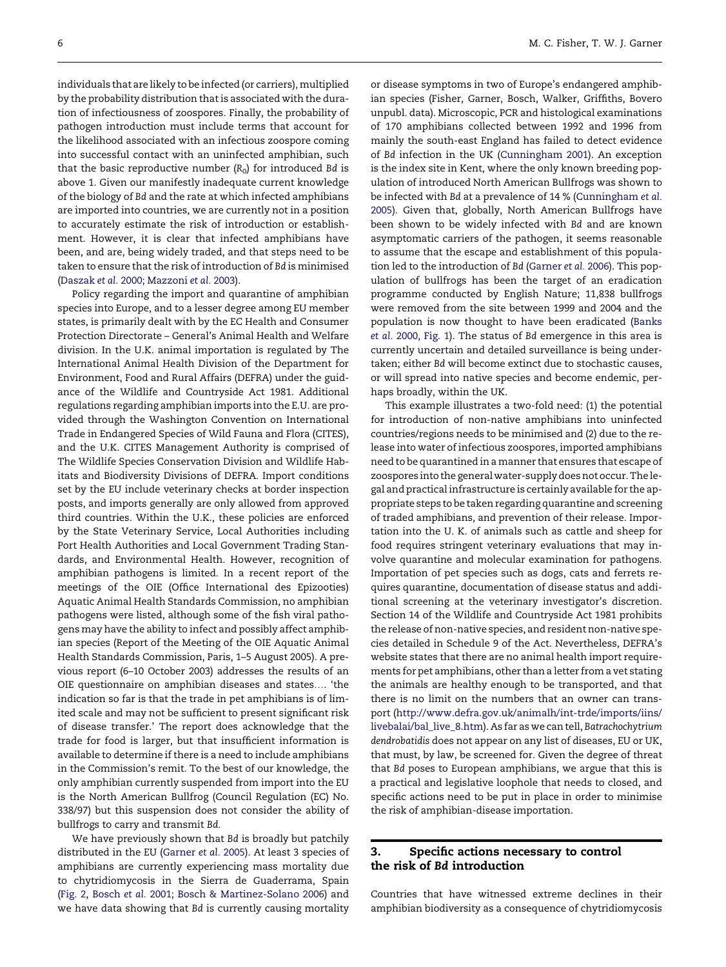individuals that are likely to be infected (or carriers), multiplied by the probability distribution that is associated with the duration of infectiousness of zoospores. Finally, the probability of pathogen introduction must include terms that account for the likelihood associated with an infectious zoospore coming into successful contact with an uninfected amphibian, such that the basic reproductive number  $(R_0)$  for introduced Bd is above 1. Given our manifestly inadequate current knowledge of the biology of Bd and the rate at which infected amphibians are imported into countries, we are currently not in a position to accurately estimate the risk of introduction or establishment. However, it is clear that infected amphibians have been, and are, being widely traded, and that steps need to be taken to ensure that the risk of introduction of Bd is minimised (Daszak et al. [2000; Mazzoni](#page-6-0) et al. 2003).

Policy regarding the import and quarantine of amphibian species into Europe, and to a lesser degree among EU member states, is primarily dealt with by the EC Health and Consumer Protection Directorate – General's Animal Health and Welfare division. In the U.K. animal importation is regulated by The International Animal Health Division of the Department for Environment, Food and Rural Affairs (DEFRA) under the guidance of the Wildlife and Countryside Act 1981. Additional regulations regarding amphibian imports into the E.U. are provided through the Washington Convention on International Trade in Endangered Species of Wild Fauna and Flora (CITES), and the U.K. CITES Management Authority is comprised of The Wildlife Species Conservation Division and Wildlife Habitats and Biodiversity Divisions of DEFRA. Import conditions set by the EU include veterinary checks at border inspection posts, and imports generally are only allowed from approved third countries. Within the U.K., these policies are enforced by the State Veterinary Service, Local Authorities including Port Health Authorities and Local Government Trading Standards, and Environmental Health. However, recognition of amphibian pathogens is limited. In a recent report of the meetings of the OIE (Office International des Epizooties) Aquatic Animal Health Standards Commission, no amphibian pathogens were listed, although some of the fish viral pathogens may have the ability to infect and possibly affect amphibian species (Report of the Meeting of the OIE Aquatic Animal Health Standards Commission, Paris, 1–5 August 2005). A previous report (6–10 October 2003) addresses the results of an OIE questionnaire on amphibian diseases and states.... 'the indication so far is that the trade in pet amphibians is of limited scale and may not be sufficient to present significant risk of disease transfer.' The report does acknowledge that the trade for food is larger, but that insufficient information is available to determine if there is a need to include amphibians in the Commission's remit. To the best of our knowledge, the only amphibian currently suspended from import into the EU is the North American Bullfrog (Council Regulation (EC) No. 338/97) but this suspension does not consider the ability of bullfrogs to carry and transmit Bd.

We have previously shown that Bd is broadly but patchily distributed in the EU ([Garner](#page-6-0) et al. 2005). At least 3 species of amphibians are currently experiencing mass mortality due to chytridiomycosis in the Sierra de Guaderrama, Spain ([Fig. 2,](#page-5-0) Bosch et al. [2001; Bosch & Martinez-Solano 2006](#page-6-0)) and we have data showing that Bd is currently causing mortality

or disease symptoms in two of Europe's endangered amphibian species (Fisher, Garner, Bosch, Walker, Griffiths, Bovero unpubl. data). Microscopic, PCR and histological examinations of 170 amphibians collected between 1992 and 1996 from mainly the south-east England has failed to detect evidence of Bd infection in the UK ([Cunningham 2001\)](#page-6-0). An exception is the index site in Kent, where the only known breeding population of introduced North American Bullfrogs was shown to be infected with Bd at a prevalence of 14 % ([Cunningham](#page-6-0) et al. [2005\)](#page-6-0). Given that, globally, North American Bullfrogs have been shown to be widely infected with Bd and are known asymptomatic carriers of the pathogen, it seems reasonable to assume that the escape and establishment of this population led to the introduction of Bd [\(Garner](#page-6-0) et al. 2006). This population of bullfrogs has been the target of an eradication programme conducted by English Nature; 11,838 bullfrogs were removed from the site between 1999 and 2004 and the population is now thought to have been eradicated ([Banks](#page-6-0) [et al.](#page-6-0) 2000, [Fig. 1\)](#page-3-0). The status of Bd emergence in this area is currently uncertain and detailed surveillance is being undertaken; either Bd will become extinct due to stochastic causes, or will spread into native species and become endemic, perhaps broadly, within the UK.

This example illustrates a two-fold need: (1) the potential for introduction of non-native amphibians into uninfected countries/regions needs to be minimised and (2) due to the release into water of infectious zoospores, imported amphibians need to be quarantined in a manner that ensures that escape of zoospores into the general water-supply does not occur. The legal and practical infrastructure is certainly available for the appropriate steps to be taken regarding quarantine and screening of traded amphibians, and prevention of their release. Importation into the U. K. of animals such as cattle and sheep for food requires stringent veterinary evaluations that may involve quarantine and molecular examination for pathogens. Importation of pet species such as dogs, cats and ferrets requires quarantine, documentation of disease status and additional screening at the veterinary investigator's discretion. Section 14 of the Wildlife and Countryside Act 1981 prohibits the release of non-native species, and resident non-native species detailed in Schedule 9 of the Act. Nevertheless, DEFRA's website states that there are no animal health import requirements for pet amphibians, other than a letter from a vet stating the animals are healthy enough to be transported, and that there is no limit on the numbers that an owner can transport [\(http://www.defra.gov.uk/animalh/int-trde/imports/iins/](http://www.defra.gov.uk/animalh/int-trde/imports/iins/livebalai/bal_live_8.htm) [livebalai/bal\\_live\\_8.htm\)](http://www.defra.gov.uk/animalh/int-trde/imports/iins/livebalai/bal_live_8.htm). As far as we can tell, Batrachochytrium dendrobatidis does not appear on any list of diseases, EU or UK, that must, by law, be screened for. Given the degree of threat that Bd poses to European amphibians, we argue that this is a practical and legislative loophole that needs to closed, and specific actions need to be put in place in order to minimise the risk of amphibian-disease importation.

#### 3. Specific actions necessary to control the risk of Bd introduction

Countries that have witnessed extreme declines in their amphibian biodiversity as a consequence of chytridiomycosis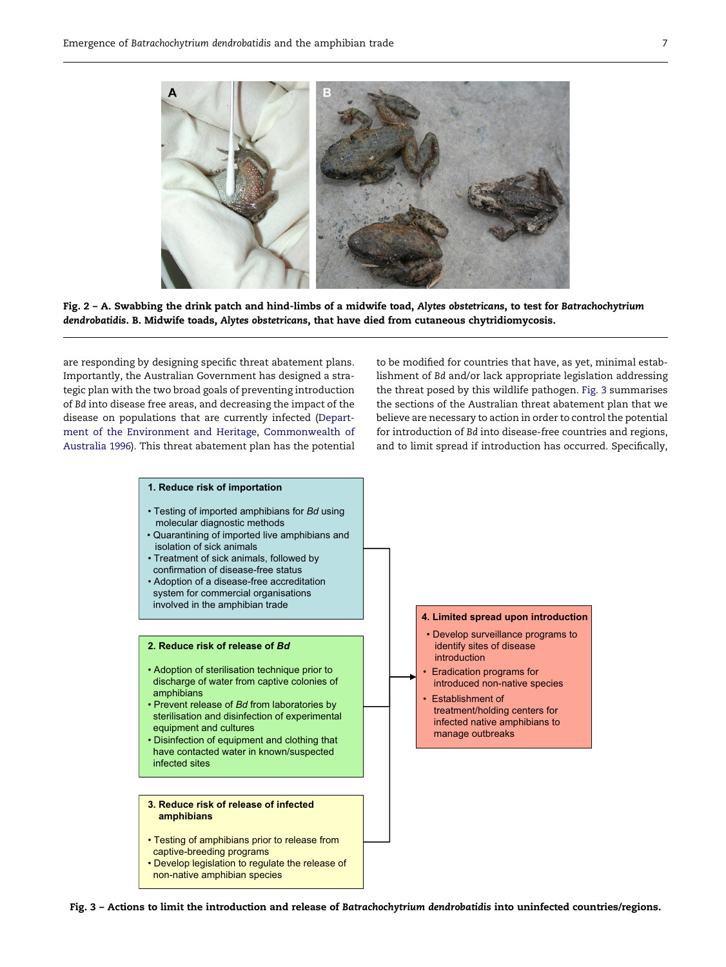<span id="page-5-0"></span>

Fig. 2 – A. Swabbing the drink patch and hind-limbs of a midwife toad, Alytes obstetricans, to test for Batrachochytrium dendrobatidis. B. Midwife toads, Alytes obstetricans, that have died from cutaneous chytridiomycosis.

are responding by designing specific threat abatement plans. Importantly, the Australian Government has designed a strategic plan with the two broad goals of preventing introduction of Bd into disease free areas, and decreasing the impact of the disease on populations that are currently infected [\(Depart](#page-6-0)[ment of the Environment and Heritage, Commonwealth of](#page-6-0) [Australia 1996](#page-6-0)). This threat abatement plan has the potential

to be modified for countries that have, as yet, minimal establishment of Bd and/or lack appropriate legislation addressing the threat posed by this wildlife pathogen. Fig. 3 summarises the sections of the Australian threat abatement plan that we believe are necessary to action in order to control the potential for introduction of Bd into disease-free countries and regions, and to limit spread if introduction has occurred. Specifically,

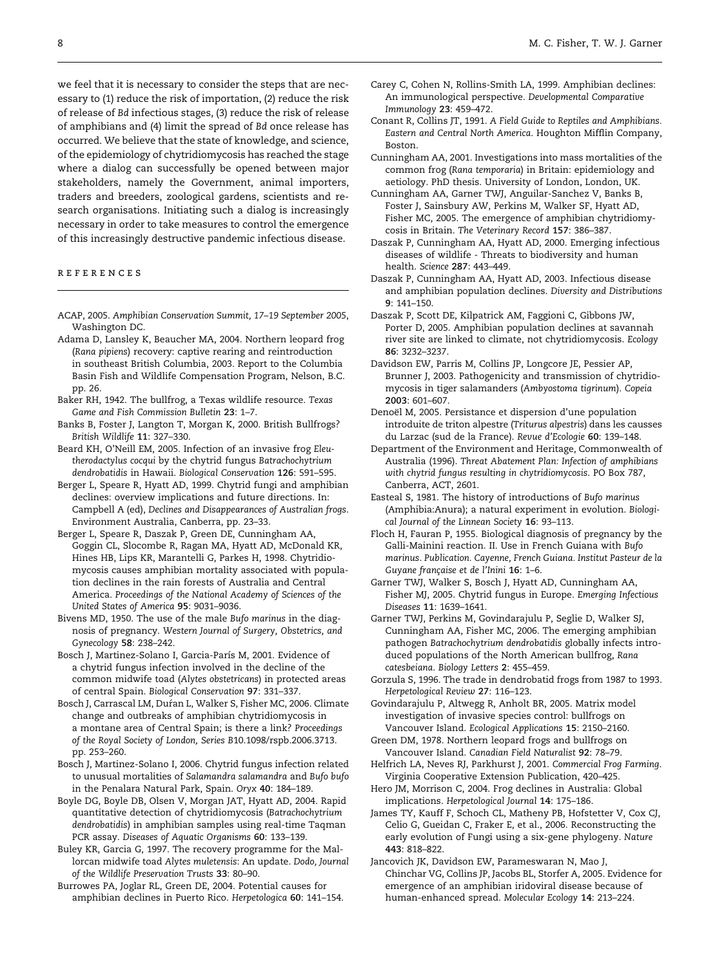<span id="page-6-0"></span>we feel that it is necessary to consider the steps that are necessary to (1) reduce the risk of importation, (2) reduce the risk of release of Bd infectious stages, (3) reduce the risk of release of amphibians and (4) limit the spread of Bd once release has occurred. We believe that the state of knowledge, and science, of the epidemiology of chytridiomycosis has reached the stage where a dialog can successfully be opened between major stakeholders, namely the Government, animal importers, traders and breeders, zoological gardens, scientists and research organisations. Initiating such a dialog is increasingly necessary in order to take measures to control the emergence of this increasingly destructive pandemic infectious disease.

#### references

- ACAP, 2005. Amphibian Conservation Summit, 17–19 September 2005, Washington DC.
- Adama D, Lansley K, Beaucher MA, 2004. Northern leopard frog (Rana pipiens) recovery: captive rearing and reintroduction in southeast British Columbia, 2003. Report to the Columbia Basin Fish and Wildlife Compensation Program, Nelson, B.C. pp. 26.
- Baker RH, 1942. The bullfrog, a Texas wildlife resource. Texas Game and Fish Commission Bulletin 23: 1–7.
- Banks B, Foster J, Langton T, Morgan K, 2000. British Bullfrogs? British Wildlife 11: 327–330.
- Beard KH, O'Neill EM, 2005. Infection of an invasive frog Eleutherodactylus cocqui by the chytrid fungus Batrachochytrium dendrobatidis in Hawaii. Biological Conservation 126: 591–595.
- Berger L, Speare R, Hyatt AD, 1999. Chytrid fungi and amphibian declines: overview implications and future directions. In: Campbell A (ed), Declines and Disappearances of Australian frogs. Environment Australia, Canberra, pp. 23–33.
- Berger L, Speare R, Daszak P, Green DE, Cunningham AA, Goggin CL, Slocombe R, Ragan MA, Hyatt AD, McDonald KR, Hines HB, Lips KR, Marantelli G, Parkes H, 1998. Chytridiomycosis causes amphibian mortality associated with population declines in the rain forests of Australia and Central America. Proceedings of the National Academy of Sciences of the United States of America 95: 9031–9036.
- Bivens MD, 1950. The use of the male Bufo marinus in the diagnosis of pregnancy. Western Journal of Surgery, Obstetrics, and Gynecology 58: 238–242.
- Bosch J, Martinez-Solano I, Garcia-París M, 2001. Evidence of a chytrid fungus infection involved in the decline of the common midwife toad (Alytes obstetricans) in protected areas of central Spain. Biological Conservation 97: 331–337.
- Bosch J, Carrascal LM, Dur´an L, Walker S, Fisher MC, 2006. Climate change and outbreaks of amphibian chytridiomycosis in a montane area of Central Spain; is there a link? Proceedings of the Royal Society of London, Series B10.1098/rspb.2006.3713. pp. 253–260.
- Bosch J, Martinez-Solano I, 2006. Chytrid fungus infection related to unusual mortalities of Salamandra salamandra and Bufo bufo in the Penalara Natural Park, Spain. Oryx 40: 184–189.
- Boyle DG, Boyle DB, Olsen V, Morgan JAT, Hyatt AD, 2004. Rapid quantitative detection of chytridiomycosis (Batrachochytrium dendrobatidis) in amphibian samples using real-time Taqman PCR assay. Diseases of Aquatic Organisms 60: 133–139.
- Buley KR, Garcia G, 1997. The recovery programme for the Mallorcan midwife toad Alytes muletensis: An update. Dodo, Journal of the Wildlife Preservation Trusts 33: 80–90.
- Burrowes PA, Joglar RL, Green DE, 2004. Potential causes for amphibian declines in Puerto Rico. Herpetologica 60: 141–154.
- Carey C, Cohen N, Rollins-Smith LA, 1999. Amphibian declines: An immunological perspective. Developmental Comparative Immunology 23: 459–472.
- Conant R, Collins JT, 1991. A Field Guide to Reptiles and Amphibians. Eastern and Central North America. Houghton Mifflin Company, Boston.
- Cunningham AA, 2001. Investigations into mass mortalities of the common frog (Rana temporaria) in Britain: epidemiology and aetiology. PhD thesis. University of London, London, UK.
- Cunningham AA, Garner TWJ, Anguilar-Sanchez V, Banks B, Foster J, Sainsbury AW, Perkins M, Walker SF, Hyatt AD, Fisher MC, 2005. The emergence of amphibian chytridiomycosis in Britain. The Veterinary Record 157: 386–387.
- Daszak P, Cunningham AA, Hyatt AD, 2000. Emerging infectious diseases of wildlife - Threats to biodiversity and human health. Science 287: 443–449.
- Daszak P, Cunningham AA, Hyatt AD, 2003. Infectious disease and amphibian population declines. Diversity and Distributions 9: 141–150.
- Daszak P, Scott DE, Kilpatrick AM, Faggioni C, Gibbons JW, Porter D, 2005. Amphibian population declines at savannah river site are linked to climate, not chytridiomycosis. Ecology 86: 3232–3237.
- Davidson EW, Parris M, Collins JP, Longcore JE, Pessier AP, Brunner J, 2003. Pathogenicity and transmission of chytridiomycosis in tiger salamanders (Ambyostoma tigrinum). Copeia 2003: 601–607.
- Denoël M, 2005. Persistance et dispersion d'une population introduite de triton alpestre (Triturus alpestris) dans les causses du Larzac (sud de la France). Revue d'Ecologie 60: 139–148.
- Department of the Environment and Heritage, Commonwealth of Australia (1996). Threat Abatement Plan: Infection of amphibians with chytrid fungus resulting in chytridiomycosis. PO Box 787, Canberra, ACT, 2601.
- Easteal S, 1981. The history of introductions of Bufo marinus (Amphibia:Anura); a natural experiment in evolution. Biological Journal of the Linnean Society 16: 93–113.
- Floch H, Fauran P, 1955. Biological diagnosis of pregnancy by the Galli-Mainini reaction. II. Use in French Guiana with Bufo marinus. Publication. Cayenne, French Guiana. Institut Pasteur de la Guyane française et de l'Inini 16: 1-6.
- Garner TWJ, Walker S, Bosch J, Hyatt AD, Cunningham AA, Fisher MJ, 2005. Chytrid fungus in Europe. Emerging Infectious Diseases 11: 1639–1641.
- Garner TWJ, Perkins M, Govindarajulu P, Seglie D, Walker SJ, Cunningham AA, Fisher MC, 2006. The emerging amphibian pathogen Batrachochytrium dendrobatidis globally infects introduced populations of the North American bullfrog, Rana catesbeiana. Biology Letters 2: 455–459.
- Gorzula S, 1996. The trade in dendrobatid frogs from 1987 to 1993. Herpetological Review 27: 116–123.
- Govindarajulu P, Altwegg R, Anholt BR, 2005. Matrix model investigation of invasive species control: bullfrogs on Vancouver Island. Ecological Applications 15: 2150–2160.
- Green DM, 1978. Northern leopard frogs and bullfrogs on Vancouver Island. Canadian Field Naturalist 92: 78–79.
- Helfrich LA, Neves RJ, Parkhurst J, 2001. Commercial Frog Farming. Virginia Cooperative Extension Publication, 420–425.
- Hero JM, Morrison C, 2004. Frog declines in Australia: Global implications. Herpetological Journal 14: 175–186.
- James TY, Kauff F, Schoch CL, Matheny PB, Hofstetter V, Cox CJ, Celio G, Gueidan C, Fraker E, et al., 2006. Reconstructing the early evolution of Fungi using a six-gene phylogeny. Nature 443: 818–822.
- Jancovich JK, Davidson EW, Parameswaran N, Mao J, Chinchar VG, Collins JP, Jacobs BL, Storfer A, 2005. Evidence for emergence of an amphibian iridoviral disease because of human-enhanced spread. Molecular Ecology 14: 213–224.